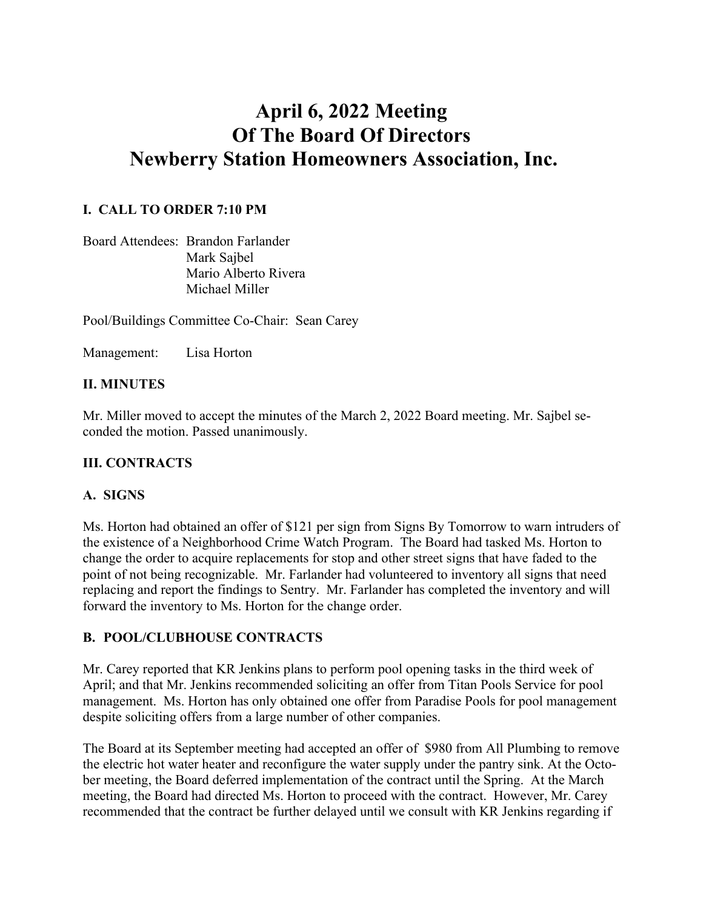# **April 6, 2022 Meeting Of The Board Of Directors Newberry Station Homeowners Association, Inc.**

#### **I. CALL TO ORDER 7:10 PM**

Board Attendees: Brandon Farlander Mark Sajbel Mario Alberto Rivera Michael Miller

Pool/Buildings Committee Co-Chair: Sean Carey

Management: Lisa Horton

#### **II. MINUTES**

Mr. Miller moved to accept the minutes of the March 2, 2022 Board meeting. Mr. Sajbel seconded the motion. Passed unanimously.

#### **III. CONTRACTS**

#### **A. SIGNS**

Ms. Horton had obtained an offer of \$121 per sign from Signs By Tomorrow to warn intruders of the existence of a Neighborhood Crime Watch Program. The Board had tasked Ms. Horton to change the order to acquire replacements for stop and other street signs that have faded to the point of not being recognizable. Mr. Farlander had volunteered to inventory all signs that need replacing and report the findings to Sentry. Mr. Farlander has completed the inventory and will forward the inventory to Ms. Horton for the change order.

#### **B. POOL/CLUBHOUSE CONTRACTS**

Mr. Carey reported that KR Jenkins plans to perform pool opening tasks in the third week of April; and that Mr. Jenkins recommended soliciting an offer from Titan Pools Service for pool management. Ms. Horton has only obtained one offer from Paradise Pools for pool management despite soliciting offers from a large number of other companies.

The Board at its September meeting had accepted an offer of \$980 from All Plumbing to remove the electric hot water heater and reconfigure the water supply under the pantry sink. At the October meeting, the Board deferred implementation of the contract until the Spring. At the March meeting, the Board had directed Ms. Horton to proceed with the contract. However, Mr. Carey recommended that the contract be further delayed until we consult with KR Jenkins regarding if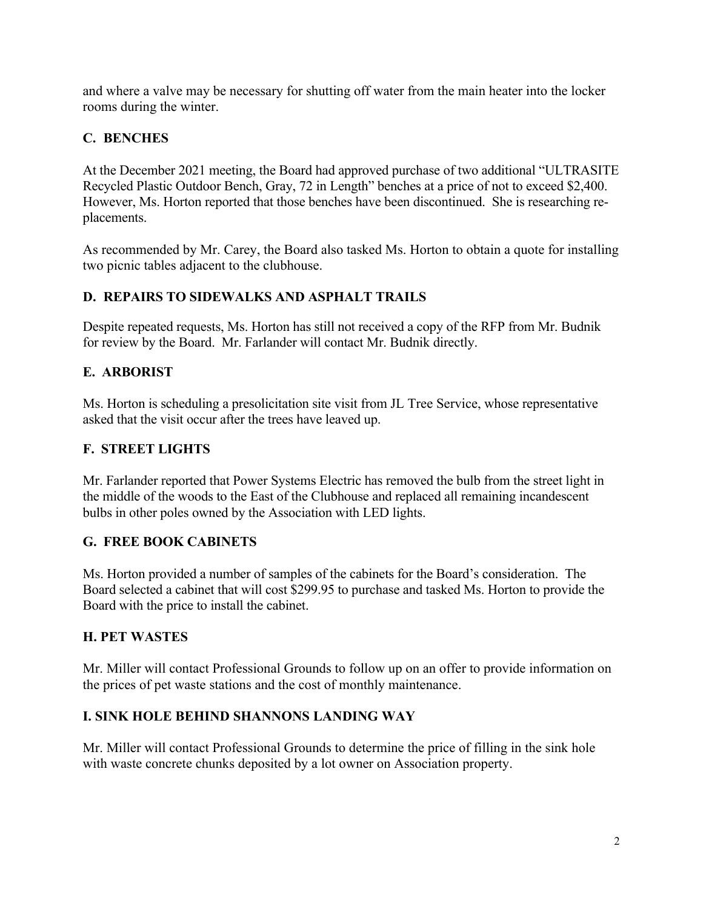and where a valve may be necessary for shutting off water from the main heater into the locker rooms during the winter.

# **C. BENCHES**

At the December 2021 meeting, the Board had approved purchase of two additional "ULTRASITE Recycled Plastic Outdoor Bench, Gray, 72 in Length" benches at a price of not to exceed \$2,400. However, Ms. Horton reported that those benches have been discontinued. She is researching replacements.

As recommended by Mr. Carey, the Board also tasked Ms. Horton to obtain a quote for installing two picnic tables adjacent to the clubhouse.

# **D. REPAIRS TO SIDEWALKS AND ASPHALT TRAILS**

Despite repeated requests, Ms. Horton has still not received a copy of the RFP from Mr. Budnik for review by the Board. Mr. Farlander will contact Mr. Budnik directly.

# **E. ARBORIST**

Ms. Horton is scheduling a presolicitation site visit from JL Tree Service, whose representative asked that the visit occur after the trees have leaved up.

# **F. STREET LIGHTS**

Mr. Farlander reported that Power Systems Electric has removed the bulb from the street light in the middle of the woods to the East of the Clubhouse and replaced all remaining incandescent bulbs in other poles owned by the Association with LED lights.

# **G. FREE BOOK CABINETS**

Ms. Horton provided a number of samples of the cabinets for the Board's consideration. The Board selected a cabinet that will cost \$299.95 to purchase and tasked Ms. Horton to provide the Board with the price to install the cabinet.

# **H. PET WASTES**

Mr. Miller will contact Professional Grounds to follow up on an offer to provide information on the prices of pet waste stations and the cost of monthly maintenance.

# **I. SINK HOLE BEHIND SHANNONS LANDING WAY**

Mr. Miller will contact Professional Grounds to determine the price of filling in the sink hole with waste concrete chunks deposited by a lot owner on Association property.